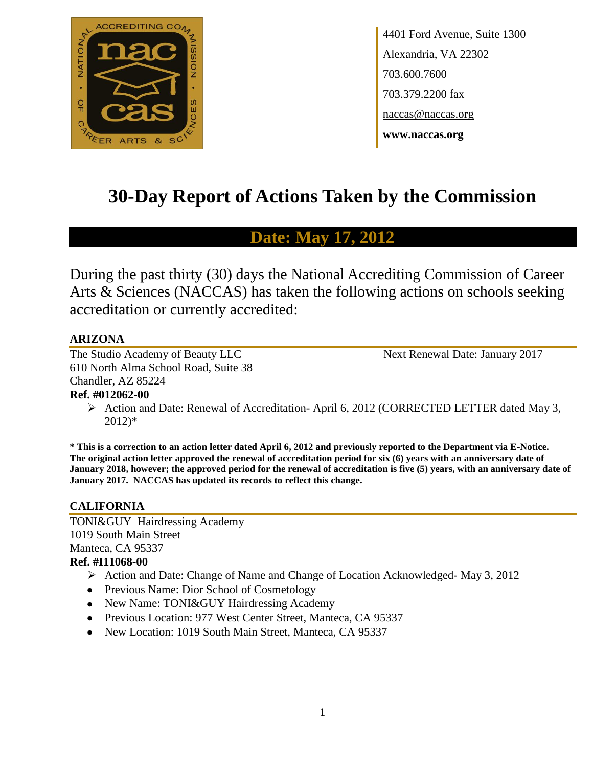

4401 Ford Avenue, Suite 1300 Alexandria, VA 22302 703.600.7600 703.379.2200 fax naccas@naccas.org **www.naccas.org**

# **30-Day Report of Actions Taken by the Commission**

# **Date: May 17, 2012**

During the past thirty (30) days the National Accrediting Commission of Career Arts & Sciences (NACCAS) has taken the following actions on schools seeking accreditation or currently accredited:

# **ARIZONA**

The Studio Academy of Beauty LLC Next Renewal Date: January 2017 610 North Alma School Road, Suite 38 Chandler, AZ 85224

# **Ref. #012062-00**

Action and Date: Renewal of Accreditation-April 6, 2012 (CORRECTED LETTER dated May 3, 2012)\*

**\* This is a correction to an action letter dated April 6, 2012 and previously reported to the Department via E-Notice. The original action letter approved the renewal of accreditation period for six (6) years with an anniversary date of January 2018, however; the approved period for the renewal of accreditation is five (5) years, with an anniversary date of January 2017. NACCAS has updated its records to reflect this change.**

# **CALIFORNIA**

TONI&GUY Hairdressing Academy 1019 South Main Street Manteca, CA 95337 **Ref. #I11068-00**

# Action and Date: Change of Name and Change of Location Acknowledged- May 3, 2012

- Previous Name: Dior School of Cosmetology
- New Name: TONI&GUY Hairdressing Academy
- Previous Location: 977 West Center Street, Manteca, CA 95337
- New Location: 1019 South Main Street, Manteca, CA 95337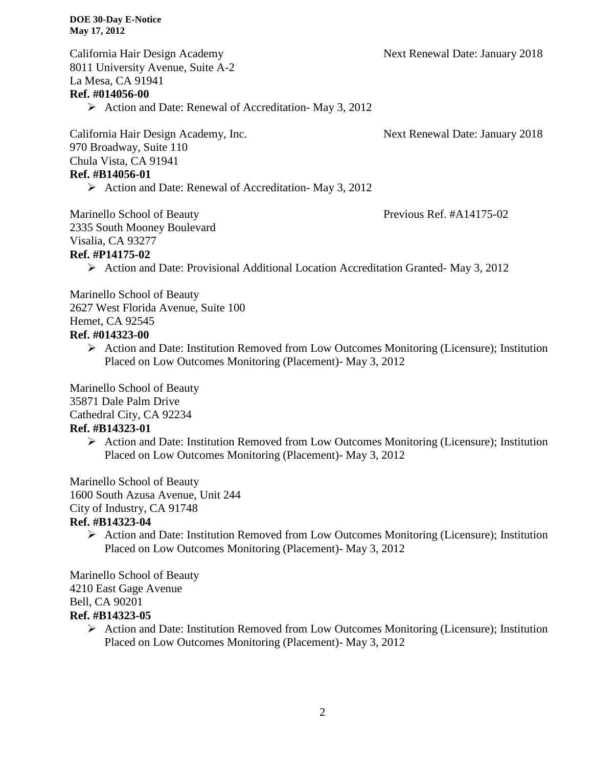California Hair Design Academy Next Renewal Date: January 2018 8011 University Avenue, Suite A-2 La Mesa, CA 91941 **Ref. #014056-00**  $\triangleright$  Action and Date: Renewal of Accreditation- May 3, 2012

California Hair Design Academy, Inc. Next Renewal Date: January 2018 970 Broadway, Suite 110 Chula Vista, CA 91941 **Ref. #B14056-01**

 $\triangleright$  Action and Date: Renewal of Accreditation- May 3, 2012

Marinello School of Beauty Previous Ref. #A14175-02

2335 South Mooney Boulevard Visalia, CA 93277

### **Ref. #P14175-02**

Action and Date: Provisional Additional Location Accreditation Granted- May 3, 2012

Marinello School of Beauty 2627 West Florida Avenue, Suite 100 Hemet, CA 92545 **Ref. #014323-00**

 $\triangleright$  Action and Date: Institution Removed from Low Outcomes Monitoring (Licensure); Institution Placed on Low Outcomes Monitoring (Placement)- May 3, 2012

Marinello School of Beauty 35871 Dale Palm Drive Cathedral City, CA 92234

# **Ref. #B14323-01**

 Action and Date: Institution Removed from Low Outcomes Monitoring (Licensure); Institution Placed on Low Outcomes Monitoring (Placement)- May 3, 2012

Marinello School of Beauty 1600 South Azusa Avenue, Unit 244

# City of Industry, CA 91748

# **Ref. #B14323-04**

 $\triangleright$  Action and Date: Institution Removed from Low Outcomes Monitoring (Licensure); Institution Placed on Low Outcomes Monitoring (Placement)- May 3, 2012

Marinello School of Beauty 4210 East Gage Avenue Bell, CA 90201 **Ref. #B14323-05**

 Action and Date: Institution Removed from Low Outcomes Monitoring (Licensure); Institution Placed on Low Outcomes Monitoring (Placement)- May 3, 2012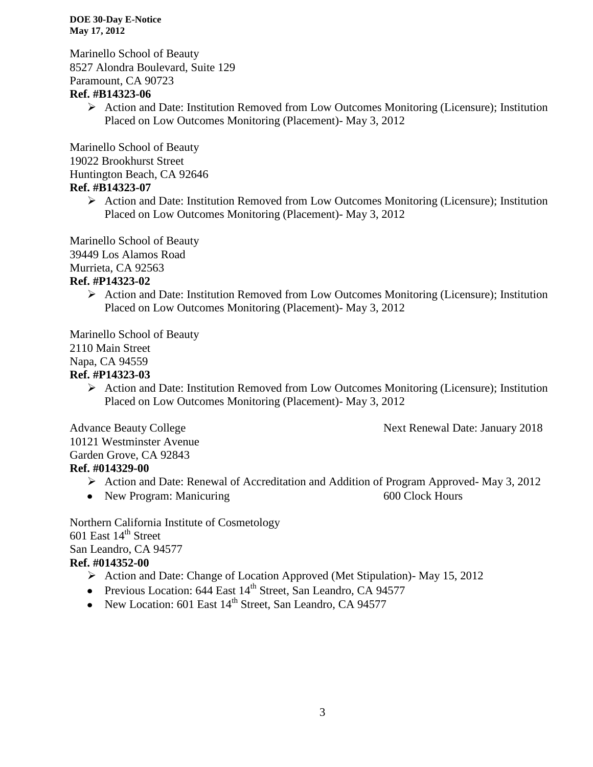Marinello School of Beauty 8527 Alondra Boulevard, Suite 129 Paramount, CA 90723

# **Ref. #B14323-06**

 $\triangleright$  Action and Date: Institution Removed from Low Outcomes Monitoring (Licensure); Institution Placed on Low Outcomes Monitoring (Placement)- May 3, 2012

Marinello School of Beauty 19022 Brookhurst Street Huntington Beach, CA 92646

# **Ref. #B14323-07**

 $\triangleright$  Action and Date: Institution Removed from Low Outcomes Monitoring (Licensure); Institution Placed on Low Outcomes Monitoring (Placement)- May 3, 2012

Marinello School of Beauty 39449 Los Alamos Road

# Murrieta, CA 92563

# **Ref. #P14323-02**

 $\triangleright$  Action and Date: Institution Removed from Low Outcomes Monitoring (Licensure); Institution Placed on Low Outcomes Monitoring (Placement)- May 3, 2012

Marinello School of Beauty 2110 Main Street Napa, CA 94559

# **Ref. #P14323-03**

 Action and Date: Institution Removed from Low Outcomes Monitoring (Licensure); Institution Placed on Low Outcomes Monitoring (Placement)- May 3, 2012

Advance Beauty College Next Renewal Date: January 2018

10121 Westminster Avenue Garden Grove, CA 92843 **Ref. #014329-00**

- Action and Date: Renewal of Accreditation and Addition of Program Approved- May 3, 2012
- New Program: Manicuring 600 Clock Hours

Northern California Institute of Cosmetology 601 East  $14<sup>th</sup>$  Street San Leandro, CA 94577 **Ref. #014352-00**

- Action and Date: Change of Location Approved (Met Stipulation)- May 15, 2012
- Previous Location:  $644$  East  $14<sup>th</sup>$  Street, San Leandro, CA 94577
- New Location: 601 East  $14<sup>th</sup>$  Street, San Leandro, CA 94577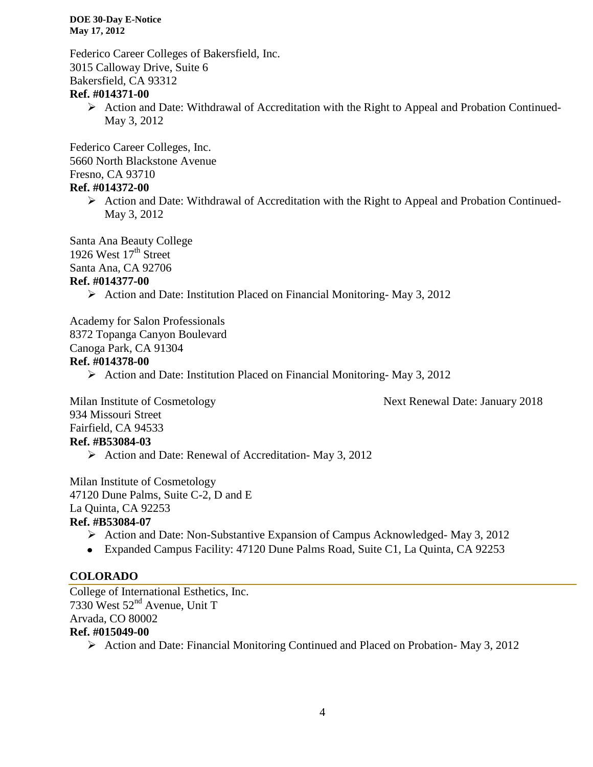Federico Career Colleges of Bakersfield, Inc. 3015 Calloway Drive, Suite 6 Bakersfield, CA 93312

### **Ref. #014371-00**

 $\triangleright$  Action and Date: Withdrawal of Accreditation with the Right to Appeal and Probation Continued-May 3, 2012

Federico Career Colleges, Inc. 5660 North Blackstone Avenue Fresno, CA 93710

# **Ref. #014372-00**

 $\triangleright$  Action and Date: Withdrawal of Accreditation with the Right to Appeal and Probation Continued-May 3, 2012

Santa Ana Beauty College 1926 West  $17<sup>th</sup>$  Street Santa Ana, CA 92706

### **Ref. #014377-00**

Action and Date: Institution Placed on Financial Monitoring-May 3, 2012

Academy for Salon Professionals 8372 Topanga Canyon Boulevard Canoga Park, CA 91304 **Ref. #014378-00**

 $\triangleright$  Action and Date: Institution Placed on Financial Monitoring-May 3, 2012

Milan Institute of Cosmetology Next Renewal Date: January 2018 934 Missouri Street Fairfield, CA 94533 **Ref. #B53084-03**

 $\triangleright$  Action and Date: Renewal of Accreditation-May 3, 2012

Milan Institute of Cosmetology 47120 Dune Palms, Suite C-2, D and E La Quinta, CA 92253 **Ref. #B53084-07**

- $\triangleright$  Action and Date: Non-Substantive Expansion of Campus Acknowledged- May 3, 2012
- Expanded Campus Facility: 47120 Dune Palms Road, Suite C1, La Quinta, CA 92253

# **COLORADO**

College of International Esthetics, Inc. 7330 West 52nd Avenue, Unit T Arvada, CO 80002 **Ref. #015049-00**

Action and Date: Financial Monitoring Continued and Placed on Probation- May 3, 2012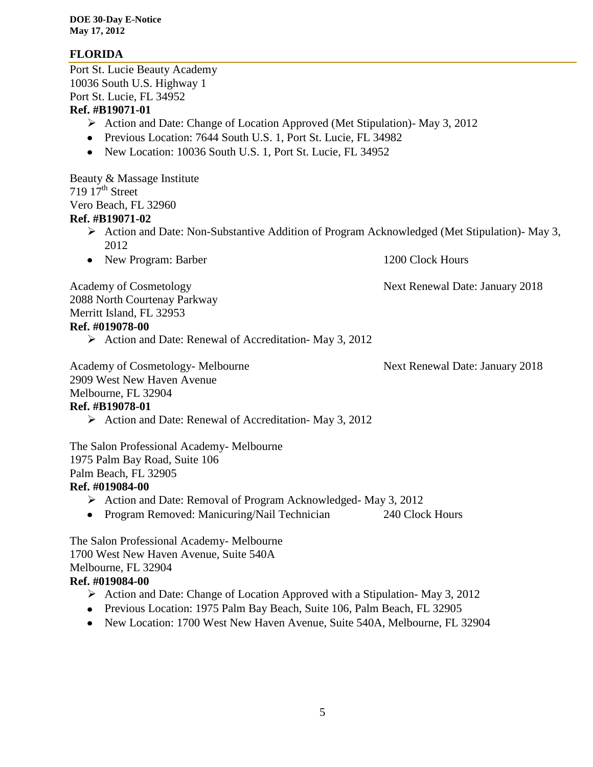# **FLORIDA**

Port St. Lucie Beauty Academy 10036 South U.S. Highway 1 Port St. Lucie, FL 34952 **Ref. #B19071-01**

- Action and Date: Change of Location Approved (Met Stipulation)- May 3, 2012
- Previous Location: 7644 South U.S. 1, Port St. Lucie, FL 34982
- New Location: 10036 South U.S. 1, Port St. Lucie, FL 34952

Beauty & Massage Institute  $719\,17<sup>th</sup>$  Street Vero Beach, FL 32960

#### **Ref. #B19071-02**

- $\triangleright$  Action and Date: Non-Substantive Addition of Program Acknowledged (Met Stipulation)- May 3, 2012
- New Program: Barber 1200 Clock Hours

Academy of Cosmetology **Next Renewal Date: January 2018** 

2088 North Courtenay Parkway Merritt Island, FL 32953

#### **Ref. #019078-00**

Action and Date: Renewal of Accreditation- May 3, 2012

Academy of Cosmetology- Melbourne Next Renewal Date: January 2018 2909 West New Haven Avenue Melbourne, FL 32904

#### **Ref. #B19078-01**

 $\triangleright$  Action and Date: Renewal of Accreditation-May 3, 2012

The Salon Professional Academy- Melbourne 1975 Palm Bay Road, Suite 106 Palm Beach, FL 32905 **Ref. #019084-00**

# $\triangleright$  Action and Date: Removal of Program Acknowledged- May 3, 2012

- 
- Program Removed: Manicuring/Nail Technician 240 Clock Hours

The Salon Professional Academy- Melbourne 1700 West New Haven Avenue, Suite 540A Melbourne, FL 32904 **Ref. #019084-00**

- $\triangleright$  Action and Date: Change of Location Approved with a Stipulation-May 3, 2012
- Previous Location: 1975 Palm Bay Beach, Suite 106, Palm Beach, FL 32905
- New Location: 1700 West New Haven Avenue, Suite 540A, Melbourne, FL 32904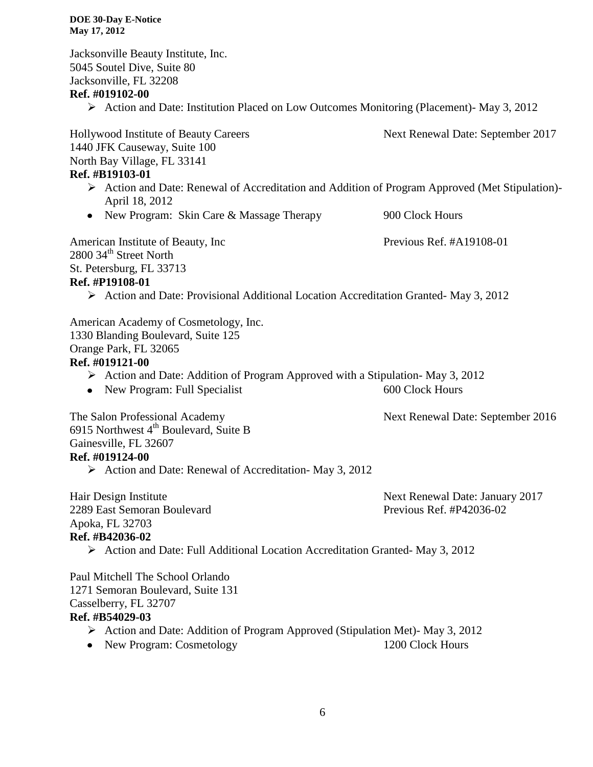Jacksonville Beauty Institute, Inc. 5045 Soutel Dive, Suite 80 Jacksonville, FL 32208

#### **Ref. #019102-00**

Action and Date: Institution Placed on Low Outcomes Monitoring (Placement)- May 3, 2012

Hollywood Institute of Beauty Careers Next Renewal Date: September 2017 1440 JFK Causeway, Suite 100 North Bay Village, FL 33141

# **Ref. #B19103-01**

- Action and Date: Renewal of Accreditation and Addition of Program Approved (Met Stipulation)- April 18, 2012
- New Program: Skin Care & Massage Therapy 900 Clock Hours

American Institute of Beauty, Inc Previous Ref. #A19108-01 2800 34<sup>th</sup> Street North St. Petersburg, FL 33713 **Ref. #P19108-01**

 $\triangleright$  Action and Date: Provisional Additional Location Accreditation Granted- May 3, 2012

American Academy of Cosmetology, Inc. 1330 Blanding Boulevard, Suite 125 Orange Park, FL 32065 **Ref. #019121-00**

- Action and Date: Addition of Program Approved with a Stipulation-May 3, 2012
- New Program: Full Specialist 600 Clock Hours

The Salon Professional Academy Next Renewal Date: September 2016

6915 Northwest 4<sup>th</sup> Boulevard, Suite B Gainesville, FL 32607 **Ref. #019124-00**

 $\triangleright$  Action and Date: Renewal of Accreditation-May 3, 2012

Hair Design Institute Next Renewal Date: January 2017 2289 East Semoran Boulevard Previous Ref. #P42036-02 Apoka, FL 32703 **Ref. #B42036-02**

 $\triangleright$  Action and Date: Full Additional Location Accreditation Granted- May 3, 2012

Paul Mitchell The School Orlando 1271 Semoran Boulevard, Suite 131 Casselberry, FL 32707 **Ref. #B54029-03**

- Action and Date: Addition of Program Approved (Stipulation Met)- May 3, 2012
- New Program: Cosmetology 1200 Clock Hours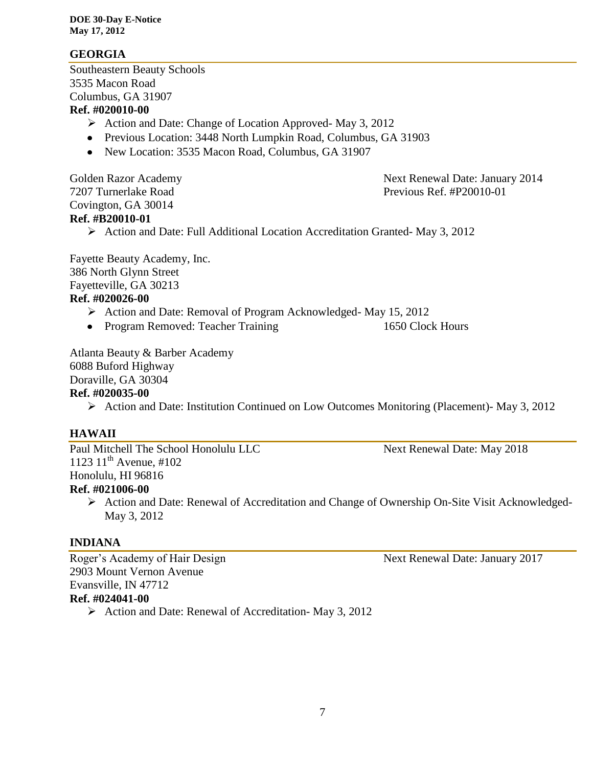### **GEORGIA**

Southeastern Beauty Schools 3535 Macon Road Columbus, GA 31907

# **Ref. #020010-00**

- $\triangleright$  Action and Date: Change of Location Approved- May 3, 2012
- Previous Location: 3448 North Lumpkin Road, Columbus, GA 31903
- New Location: 3535 Macon Road, Columbus, GA 31907

Covington, GA 30014

Golden Razor Academy **Next Renewal Date: January 2014** 7207 Turnerlake Road Previous Ref. #P20010-01

# **Ref. #B20010-01**

 $\triangleright$  Action and Date: Full Additional Location Accreditation Granted- May 3, 2012

Fayette Beauty Academy, Inc. 386 North Glynn Street Fayetteville, GA 30213 **Ref. #020026-00**

- Action and Date: Removal of Program Acknowledged- May 15, 2012
- Program Removed: Teacher Training 1650 Clock Hours

Atlanta Beauty & Barber Academy

6088 Buford Highway Doraville, GA 30304

# **Ref. #020035-00**

Action and Date: Institution Continued on Low Outcomes Monitoring (Placement)- May 3, 2012

#### **HAWAII**

Paul Mitchell The School Honolulu LLC<br>Next Renewal Date: May 2018 1123  $11^{th}$  Avenue, #102 Honolulu, HI 96816

# **Ref. #021006-00**

 Action and Date: Renewal of Accreditation and Change of Ownership On-Site Visit Acknowledged-May 3, 2012

# **INDIANA**

Roger's Academy of Hair Design Next Renewal Date: January 2017 2903 Mount Vernon Avenue Evansville, IN 47712

# **Ref. #024041-00**

 $\triangleright$  Action and Date: Renewal of Accreditation- May 3, 2012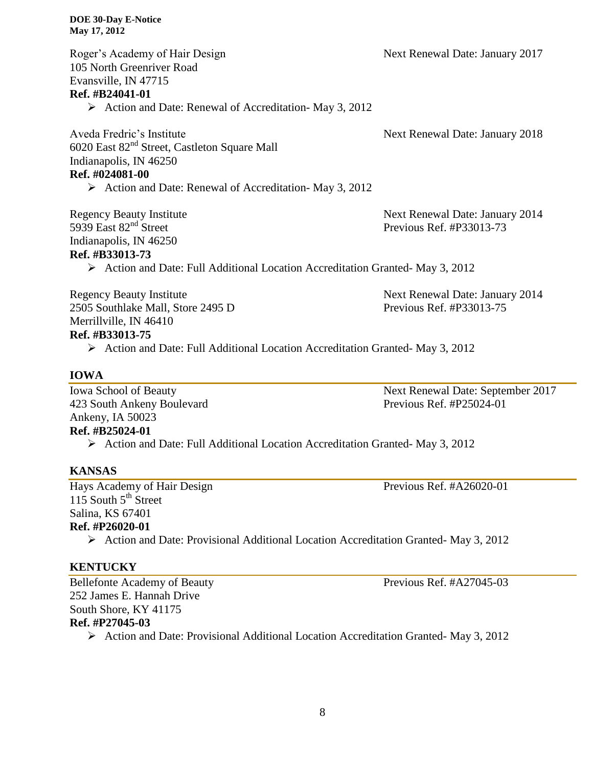| Roger's Academy of Hair Design                                                | Next Renewal Date: January 2017 |
|-------------------------------------------------------------------------------|---------------------------------|
| 105 North Greenriver Road                                                     |                                 |
| Evansville, IN 47715                                                          |                                 |
| Ref. #B24041-01                                                               |                                 |
| $\triangleright$ Action and Date: Renewal of Accreditation-May 3, 2012        |                                 |
| Aveda Fredric's Institute                                                     | Next Renewal Date: January 2018 |
| 6020 East 82 <sup>nd</sup> Street, Castleton Square Mall                      |                                 |
| Indianapolis, IN 46250                                                        |                                 |
| Ref. #024081-00                                                               |                                 |
| $\triangleright$ Action and Date: Renewal of Accreditation-May 3, 2012        |                                 |
| <b>Regency Beauty Institute</b>                                               | Next Renewal Date: January 2014 |
| 5939 East $82nd$ Street                                                       | Previous Ref. #P33013-73        |
| Indianapolis, IN 46250                                                        |                                 |
| Ref. #B33013-73                                                               |                                 |
| > Action and Date: Full Additional Location Accreditation Granted-May 3, 2012 |                                 |
| <b>Regency Beauty Institute</b>                                               | Next Renewal Date: January 2014 |
| 2505 Southlake Mall, Store 2495 D                                             | Previous Ref. #P33013-75        |
| Merrillville, IN 46410                                                        |                                 |
| Ref. #B33013-75                                                               |                                 |
|                                                                               |                                 |

 $\triangleright$  Action and Date: Full Additional Location Accreditation Granted- May 3, 2012

# **IOWA**

423 South Ankeny Boulevard Previous Ref. #P25024-01 Ankeny, IA 50023 **Ref. #B25024-01**

Iowa School of Beauty Next Renewal Date: September 2017

# Action and Date: Full Additional Location Accreditation Granted- May 3, 2012

#### **KANSAS**

Hays Academy of Hair Design Previous Ref. #A26020-01 115 South  $5^{th}$  Street Salina, KS 67401 **Ref. #P26020-01**

Action and Date: Provisional Additional Location Accreditation Granted- May 3, 2012

#### **KENTUCKY**

252 James E. Hannah Drive South Shore, KY 41175 **Ref. #P27045-03**

Action and Date: Provisional Additional Location Accreditation Granted- May 3, 2012

Bellefonte Academy of Beauty Previous Ref. #A27045-03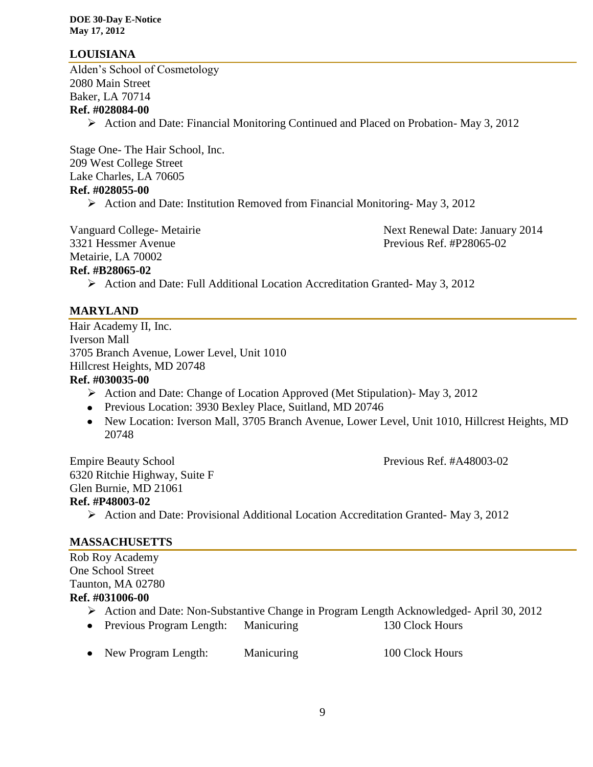## **LOUISIANA**

Alden's School of Cosmetology 2080 Main Street Baker, LA 70714 **Ref. #028084-00**

Action and Date: Financial Monitoring Continued and Placed on Probation- May 3, 2012

Stage One- The Hair School, Inc. 209 West College Street Lake Charles, LA 70605 **Ref. #028055-00**

Action and Date: Institution Removed from Financial Monitoring-May 3, 2012

Vanguard College- Metairie Next Renewal Date: January 2014 3321 Hessmer Avenue Previous Ref. #P28065-02

Metairie, LA 70002

**Ref. #B28065-02**

 $\triangleright$  Action and Date: Full Additional Location Accreditation Granted- May 3, 2012

#### **MARYLAND**

Hair Academy II, Inc. Iverson Mall 3705 Branch Avenue, Lower Level, Unit 1010 Hillcrest Heights, MD 20748 **Ref. #030035-00**

- Action and Date: Change of Location Approved (Met Stipulation)- May 3, 2012
- Previous Location: 3930 Bexley Place, Suitland, MD 20746
- New Location: Iverson Mall, 3705 Branch Avenue, Lower Level, Unit 1010, Hillcrest Heights, MD 20748

Empire Beauty School **Previous Ref. #A48003-02** 6320 Ritchie Highway, Suite F Glen Burnie, MD 21061 **Ref. #P48003-02** Action and Date: Provisional Additional Location Accreditation Granted- May 3, 2012

#### **MASSACHUSETTS**

Rob Roy Academy One School Street Taunton, MA 02780 **Ref. #031006-00**

- Action and Date: Non-Substantive Change in Program Length Acknowledged- April 30, 2012
- Previous Program Length: Manicuring 130 Clock Hours
- New Program Length: Manicuring 100 Clock Hours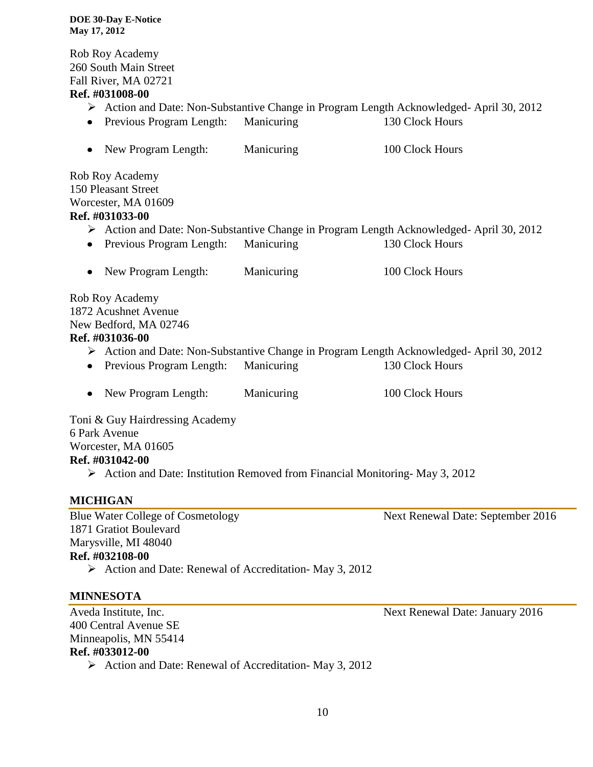Rob Roy Academy 260 South Main Street Fall River, MA 02721

#### **Ref. #031008-00**

- Action and Date: Non-Substantive Change in Program Length Acknowledged- April 30, 2012
- Previous Program Length: Manicuring 130 Clock Hours
- New Program Length: Manicuring 100 Clock Hours

Rob Roy Academy 150 Pleasant Street Worcester, MA 01609 **Ref. #031033-00**

- Action and Date: Non-Substantive Change in Program Length Acknowledged- April 30, 2012
- Previous Program Length: Manicuring 130 Clock Hours
- New Program Length: Manicuring 100 Clock Hours

Rob Roy Academy 1872 Acushnet Avenue New Bedford, MA 02746 **Ref. #031036-00**

- Action and Date: Non-Substantive Change in Program Length Acknowledged- April 30, 2012
- Previous Program Length: Manicuring 130 Clock Hours
- New Program Length: Manicuring 100 Clock Hours

Toni & Guy Hairdressing Academy 6 Park Avenue

# Worcester, MA 01605

# **Ref. #031042-00**

 $\triangleright$  Action and Date: Institution Removed from Financial Monitoring-May 3, 2012

# **MICHIGAN**

1871 Gratiot Boulevard Marysville, MI 48040 **Ref. #032108-00**

 $\triangleright$  Action and Date: Renewal of Accreditation-May 3, 2012

#### **MINNESOTA**

Aveda Institute, Inc. **Next Renewal Date: January 2016** 400 Central Avenue SE Minneapolis, MN 55414 **Ref. #033012-00**

 $\triangleright$  Action and Date: Renewal of Accreditation- May 3, 2012

Blue Water College of Cosmetology Next Renewal Date: September 2016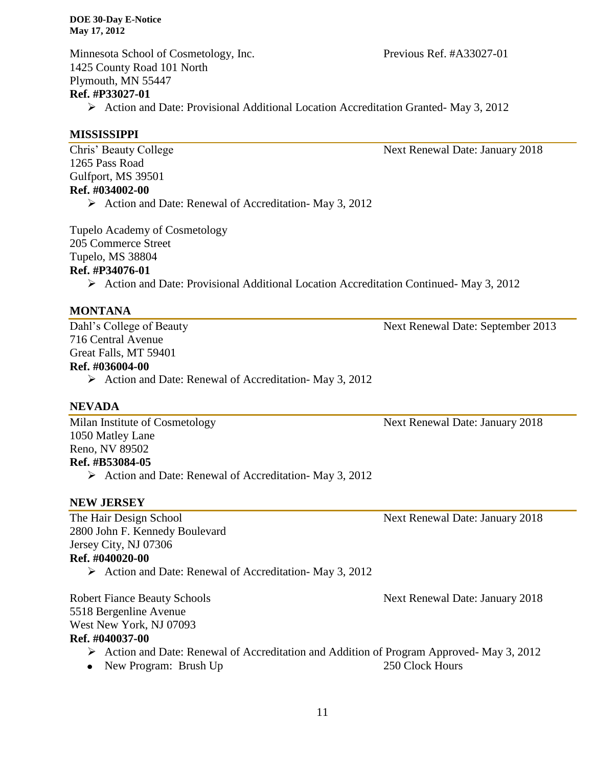Minnesota School of Cosmetology, Inc. Previous Ref. #A33027-01 1425 County Road 101 North Plymouth, MN 55447 **Ref. #P33027-01**

Action and Date: Provisional Additional Location Accreditation Granted- May 3, 2012

#### **MISSISSIPPI**

Chris' Beauty College Next Renewal Date: January 2018 1265 Pass Road Gulfport, MS 39501 **Ref. #034002-00**  $\triangleright$  Action and Date: Renewal of Accreditation-May 3, 2012

Tupelo Academy of Cosmetology 205 Commerce Street Tupelo, MS 38804

#### **Ref. #P34076-01**

 $\triangleright$  Action and Date: Provisional Additional Location Accreditation Continued-May 3, 2012

#### **MONTANA**

716 Central Avenue Great Falls, MT 59401

#### **Ref. #036004-00**

 $\triangleright$  Action and Date: Renewal of Accreditation- May 3, 2012

#### **NEVADA**

Milan Institute of Cosmetology Next Renewal Date: January 2018 1050 Matley Lane Reno, NV 89502 **Ref. #B53084-05**  $\triangleright$  Action and Date: Renewal of Accreditation- May 3, 2012

#### **NEW JERSEY**

The Hair Design School Next Renewal Date: January 2018 2800 John F. Kennedy Boulevard Jersey City, NJ 07306

### **Ref. #040020-00**

 $\triangleright$  Action and Date: Renewal of Accreditation-May 3, 2012

Robert Fiance Beauty Schools **Next Renewal Date: January 2018** 5518 Bergenline Avenue West New York, NJ 07093 **Ref. #040037-00**

- Action and Date: Renewal of Accreditation and Addition of Program Approved-May 3, 2012
- New Program: Brush Up 250 Clock Hours

Dahl's College of Beauty Next Renewal Date: September 2013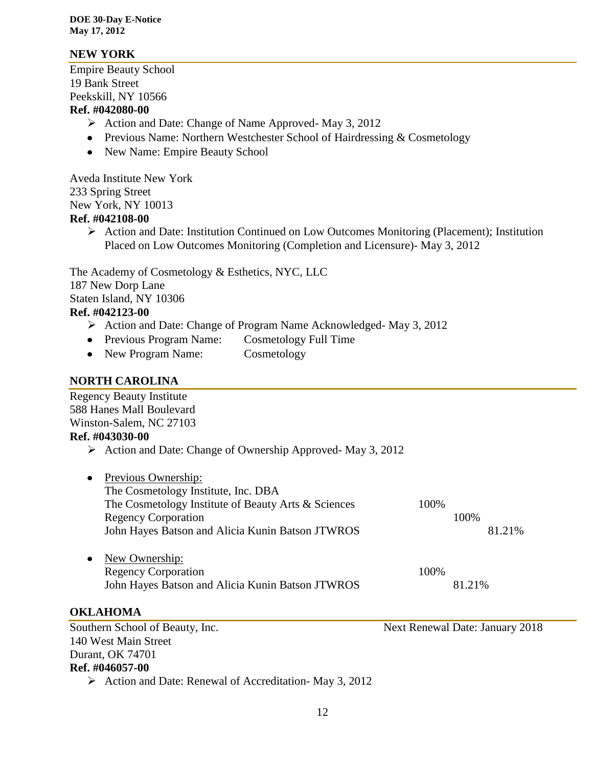### **NEW YORK**

Empire Beauty School 19 Bank Street Peekskill, NY 10566 **Ref. #042080-00**

- $\triangleright$  Action and Date: Change of Name Approved-May 3, 2012
- Previous Name: Northern Westchester School of Hairdressing & Cosmetology
- New Name: Empire Beauty School

Aveda Institute New York 233 Spring Street New York, NY 10013 **Ref. #042108-00**

 $\triangleright$  Action and Date: Institution Continued on Low Outcomes Monitoring (Placement); Institution Placed on Low Outcomes Monitoring (Completion and Licensure)- May 3, 2012

The Academy of Cosmetology & Esthetics, NYC, LLC 187 New Dorp Lane Staten Island, NY 10306 **Ref. #042123-00**

- Action and Date: Change of Program Name Acknowledged- May 3, 2012
- Previous Program Name: Cosmetology Full Time
- New Program Name: Cosmetology

# **NORTH CAROLINA**

| <b>Regency Beauty Institute</b>                                            |      |                                 |  |
|----------------------------------------------------------------------------|------|---------------------------------|--|
| 588 Hanes Mall Boulevard                                                   |      |                                 |  |
| Winston-Salem, NC 27103                                                    |      |                                 |  |
| Ref. #043030-00                                                            |      |                                 |  |
| $\triangleright$ Action and Date: Change of Ownership Approved-May 3, 2012 |      |                                 |  |
| Previous Ownership:                                                        |      |                                 |  |
| The Cosmetology Institute, Inc. DBA                                        |      |                                 |  |
| The Cosmetology Institute of Beauty Arts & Sciences                        | 100% |                                 |  |
| <b>Regency Corporation</b>                                                 |      | 100%                            |  |
| John Hayes Batson and Alicia Kunin Batson JTWROS                           |      | 81.21%                          |  |
| New Ownership:                                                             |      |                                 |  |
| <b>Regency Corporation</b>                                                 | 100% |                                 |  |
| John Hayes Batson and Alicia Kunin Batson JTWROS                           |      | 81.21%                          |  |
| <b>OKLAHOMA</b>                                                            |      |                                 |  |
| Southern School of Beauty, Inc.                                            |      | Next Renewal Date: January 2018 |  |
| 140 West Main Street                                                       |      |                                 |  |
| Durant, OK 74701                                                           |      |                                 |  |

# **Ref. #046057-00**

 $\triangleright$  Action and Date: Renewal of Accreditation-May 3, 2012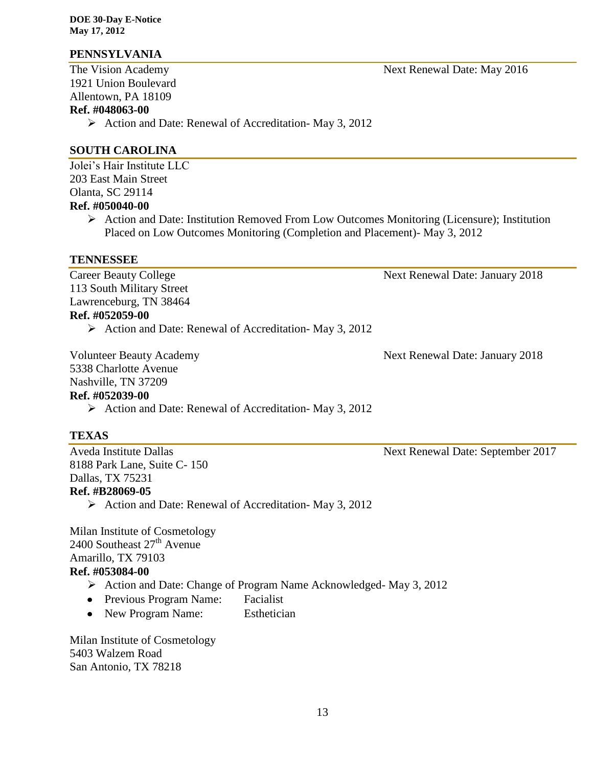### **PENNSYLVANIA**

1921 Union Boulevard Allentown, PA 18109

# **Ref. #048063-00**

 $\triangleright$  Action and Date: Renewal of Accreditation-May 3, 2012

## **SOUTH CAROLINA**

Jolei's Hair Institute LLC 203 East Main Street Olanta, SC 29114

### **Ref. #050040-00**

 Action and Date: Institution Removed From Low Outcomes Monitoring (Licensure); Institution Placed on Low Outcomes Monitoring (Completion and Placement)- May 3, 2012

#### **TENNESSEE**

Career Beauty College Next Renewal Date: January 2018 113 South Military Street Lawrenceburg, TN 38464 **Ref. #052059-00**  $\triangleright$  Action and Date: Renewal of Accreditation-May 3, 2012

Volunteer Beauty Academy 1988 Next Renewal Date: January 2018

5338 Charlotte Avenue

#### Nashville, TN 37209 **Ref. #052039-00**

 $\triangleright$  Action and Date: Renewal of Accreditation-May 3, 2012

# **TEXAS**

8188 Park Lane, Suite C- 150 Dallas, TX 75231 **Ref. #B28069-05**

 $\triangleright$  Action and Date: Renewal of Accreditation-May 3, 2012

Milan Institute of Cosmetology 2400 Southeast  $27<sup>th</sup>$  Avenue Amarillo, TX 79103 **Ref. #053084-00**

- Action and Date: Change of Program Name Acknowledged- May 3, 2012
- Previous Program Name: Facialist
- New Program Name: Esthetician

Milan Institute of Cosmetology 5403 Walzem Road San Antonio, TX 78218

The Vision Academy Next Renewal Date: May 2016

Aveda Institute Dallas Next Renewal Date: September 2017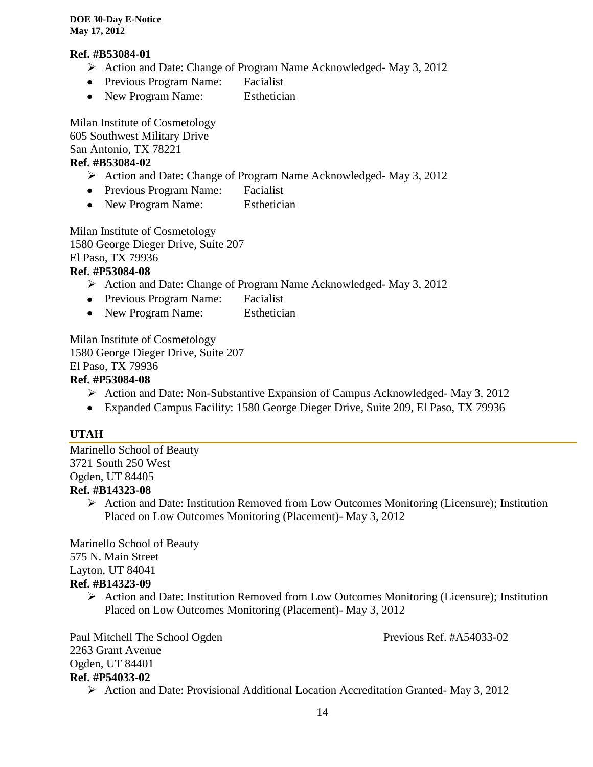#### **Ref. #B53084-01**

- Action and Date: Change of Program Name Acknowledged- May 3, 2012
- Previous Program Name: Facialist
- New Program Name: Esthetician

Milan Institute of Cosmetology 605 Southwest Military Drive San Antonio, TX 78221 **Ref. #B53084-02**

- Action and Date: Change of Program Name Acknowledged- May 3, 2012
- Previous Program Name: Facialist
- New Program Name: Esthetician

Milan Institute of Cosmetology 1580 George Dieger Drive, Suite 207 El Paso, TX 79936

## **Ref. #P53084-08**

- Action and Date: Change of Program Name Acknowledged- May 3, 2012
- Previous Program Name: Facialist
- New Program Name: Esthetician

Milan Institute of Cosmetology 1580 George Dieger Drive, Suite 207 El Paso, TX 79936 **Ref. #P53084-08**

- $\triangleright$  Action and Date: Non-Substantive Expansion of Campus Acknowledged- May 3, 2012
- Expanded Campus Facility: 1580 George Dieger Drive, Suite 209, El Paso, TX 79936

#### **UTAH**

Marinello School of Beauty 3721 South 250 West Ogden, UT 84405 **Ref. #B14323-08**

> $\triangleright$  Action and Date: Institution Removed from Low Outcomes Monitoring (Licensure); Institution Placed on Low Outcomes Monitoring (Placement)- May 3, 2012

Marinello School of Beauty 575 N. Main Street Layton, UT 84041 **Ref. #B14323-09**

 Action and Date: Institution Removed from Low Outcomes Monitoring (Licensure); Institution Placed on Low Outcomes Monitoring (Placement)- May 3, 2012

Paul Mitchell The School Ogden Previous Ref. #A54033-02 2263 Grant Avenue Ogden, UT 84401 **Ref. #P54033-02**

Action and Date: Provisional Additional Location Accreditation Granted- May 3, 2012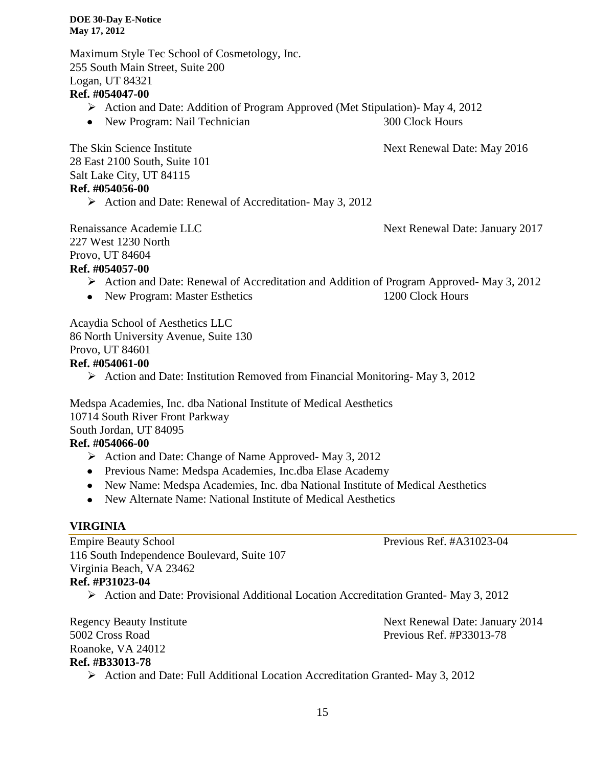Maximum Style Tec School of Cosmetology, Inc. 255 South Main Street, Suite 200 Logan, UT 84321 **Ref. #054047-00**

- Action and Date: Addition of Program Approved (Met Stipulation)- May 4, 2012
- New Program: Nail Technician 300 Clock Hours

The Skin Science Institute Next Renewal Date: May 2016

28 East 2100 South, Suite 101 Salt Lake City, UT 84115 **Ref. #054056-00**

 $\triangleright$  Action and Date: Renewal of Accreditation-May 3, 2012

Renaissance Academie LLC Next Renewal Date: January 2017 227 West 1230 North Provo, UT 84604 **Ref. #054057-00**

- Action and Date: Renewal of Accreditation and Addition of Program Approved- May 3, 2012
- New Program: Master Esthetics 1200 Clock Hours

Acaydia School of Aesthetics LLC 86 North University Avenue, Suite 130 Provo, UT 84601 **Ref. #054061-00**

 $\triangleright$  Action and Date: Institution Removed from Financial Monitoring-May 3, 2012

Medspa Academies, Inc. dba National Institute of Medical Aesthetics 10714 South River Front Parkway South Jordan, UT 84095

# **Ref. #054066-00**

- $\triangleright$  Action and Date: Change of Name Approved-May 3, 2012
- Previous Name: Medspa Academies, Inc.dba Elase Academy
- New Name: Medspa Academies, Inc. dba National Institute of Medical Aesthetics
- New Alternate Name: National Institute of Medical Aesthetics

#### **VIRGINIA**

Empire Beauty School Previous Ref. #A31023-04 116 South Independence Boulevard, Suite 107 Virginia Beach, VA 23462 **Ref. #P31023-04**

Action and Date: Provisional Additional Location Accreditation Granted- May 3, 2012

Regency Beauty Institute Next Renewal Date: January 2014 5002 Cross Road Previous Ref. #P33013-78 Roanoke, VA 24012 **Ref. #B33013-78**

Action and Date: Full Additional Location Accreditation Granted- May 3, 2012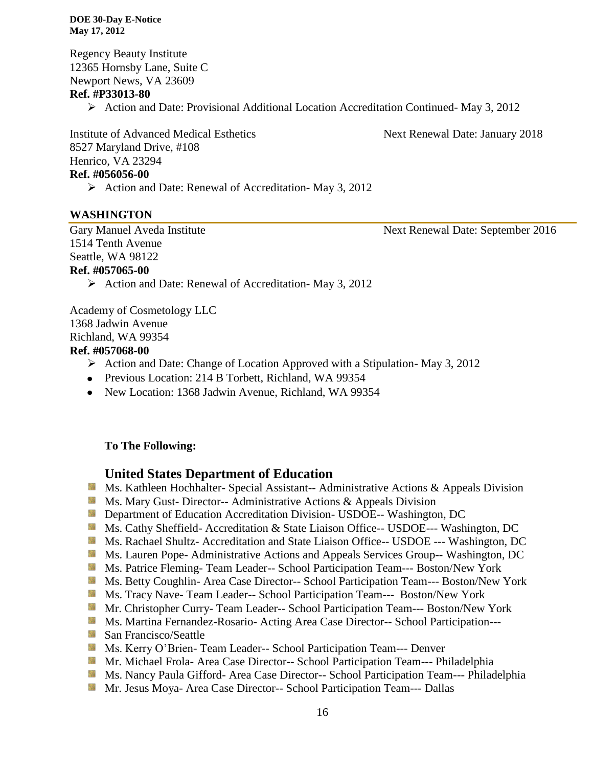Regency Beauty Institute 12365 Hornsby Lane, Suite C Newport News, VA 23609

#### **Ref. #P33013-80**

Action and Date: Provisional Additional Location Accreditation Continued- May 3, 2012

Institute of Advanced Medical Esthetics Next Renewal Date: January 2018 8527 Maryland Drive, #108 Henrico, VA 23294 **Ref. #056056-00**

 $\triangleright$  Action and Date: Renewal of Accreditation- May 3, 2012

#### **WASHINGTON**

Gary Manuel Aveda Institute Next Renewal Date: September 2016 1514 Tenth Avenue Seattle, WA 98122

#### **Ref. #057065-00**

 $\triangleright$  Action and Date: Renewal of Accreditation-May 3, 2012

Academy of Cosmetology LLC 1368 Jadwin Avenue Richland, WA 99354

#### **Ref. #057068-00**

- $\triangleright$  Action and Date: Change of Location Approved with a Stipulation-May 3, 2012
- Previous Location: 214 B Torbett, Richland, WA 99354
- New Location: 1368 Jadwin Avenue, Richland, WA 99354

# **To The Following:**

# **United States Department of Education**

- **Ms. Kathleen Hochhalter- Special Assistant-- Administrative Actions & Appeals Division**
- **Ms. Mary Gust- Director-- Administrative Actions & Appeals Division**
- **Department of Education Accreditation Division- USDOE-- Washington, DC**
- Ms. Cathy Sheffield- Accreditation & State Liaison Office-- USDOE--- Washington, DC
- Ms. Rachael Shultz- Accreditation and State Liaison Office-- USDOE --- Washington, DC
- **Ms. Lauren Pope- Administrative Actions and Appeals Services Group-- Washington, DC**
- Ms. Patrice Fleming-Team Leader-- School Participation Team--- Boston/New York
- Ms. Betty Coughlin- Area Case Director-- School Participation Team--- Boston/New York
- Ms. Tracy Nave- Team Leader-- School Participation Team--- Boston/New York
- Mr. Christopher Curry- Team Leader-- School Participation Team--- Boston/New York
- Ms. Martina Fernandez-Rosario- Acting Area Case Director-- School Participation---
- San Francisco/Seattle
- Ms. Kerry O'Brien- Team Leader-- School Participation Team--- Denver
- **Mr. Michael Frola- Area Case Director-- School Participation Team--- Philadelphia**
- Ms. Nancy Paula Gifford- Area Case Director-- School Participation Team--- Philadelphia
- **Mr. Jesus Moya- Area Case Director-- School Participation Team--- Dallas**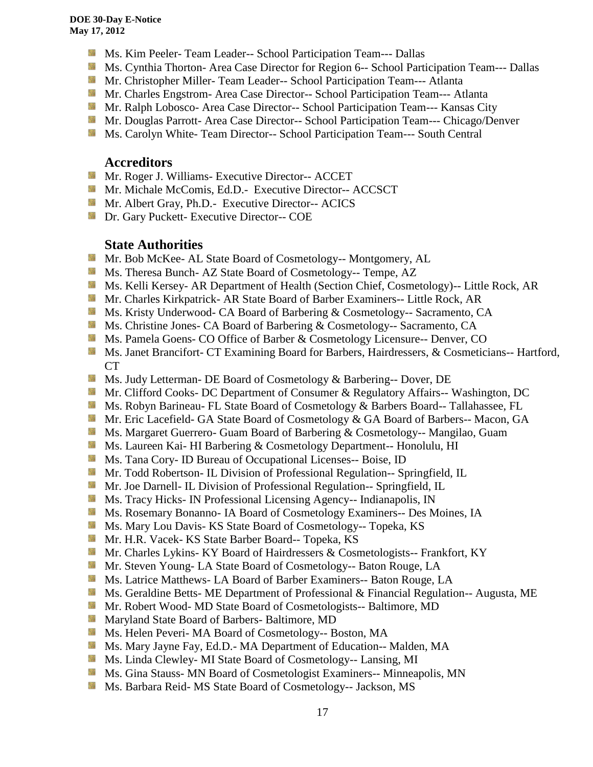- **MS. Kim Peeler- Team Leader-- School Participation Team--- Dallas**
- **Ms. Cynthia Thorton- Area Case Director for Region 6-- School Participation Team--- Dallas**
- **Mr. Christopher Miller-Team Leader-- School Participation Team--- Atlanta**
- **Mr.** Charles Engstrom- Area Case Director-- School Participation Team--- Atlanta
- Mr. Ralph Lobosco- Area Case Director-- School Participation Team--- Kansas City
- **Mr. Douglas Parrott- Area Case Director-- School Participation Team--- Chicago/Denver**
- **Ms. Carolyn White- Team Director-- School Participation Team--- South Central**

#### **Accreditors**

- **Mr. Roger J. Williams- Executive Director-- ACCET**
- **Mr. Michale McComis, Ed.D.** Executive Director-- ACCSCT
- Mr. Albert Gray, Ph.D.- Executive Director-- ACICS
- **Dr.** Gary Puckett- Executive Director-- COE

# **State Authorities**

- Mr. Bob McKee- AL State Board of Cosmetology-- Montgomery, AL
- **Ms.** Theresa Bunch- AZ State Board of Cosmetology-- Tempe, AZ
- **Ms. Kelli Kersey- AR Department of Health (Section Chief, Cosmetology)**-- Little Rock, AR
- **Mr. Charles Kirkpatrick- AR State Board of Barber Examiners-- Little Rock, AR**
- **Ms. Kristy Underwood- CA Board of Barbering & Cosmetology-- Sacramento, CA**
- **Ms.** Christine Jones- CA Board of Barbering & Cosmetology-- Sacramento, CA
- Ms. Pamela Goens- CO Office of Barber & Cosmetology Licensure-- Denver, CO
- Ms. Janet Brancifort- CT Examining Board for Barbers, Hairdressers, & Cosmeticians-- Hartford, CT
- **Ms.** Judy Letterman- DE Board of Cosmetology & Barbering-- Dover, DE
- **Mr. Clifford Cooks- DC Department of Consumer & Regulatory Affairs-- Washington, DC**
- **Ms. Robyn Barineau- FL State Board of Cosmetology & Barbers Board-- Tallahassee, FL**
- **Mr.** Eric Lacefield- GA State Board of Cosmetology & GA Board of Barbers-- Macon, GA
- **Ms. Margaret Guerrero- Guam Board of Barbering & Cosmetology-- Mangilao, Guam**
- **Ms. Laureen Kai- HI Barbering & Cosmetology Department-- Honolulu, HI**
- **Ms.** Tana Cory- ID Bureau of Occupational Licenses-- Boise, ID
- **Mr.** Todd Robertson- IL Division of Professional Regulation-- Springfield, IL
- **Mr. Joe Darnell- IL Division of Professional Regulation-- Springfield, IL**
- **Ms.** Tracy Hicks- IN Professional Licensing Agency-- Indianapolis, IN
- **MS. Rosemary Bonanno- IA Board of Cosmetology Examiners-- Des Moines, IA**
- **Ms. Mary Lou Davis- KS State Board of Cosmetology-- Topeka, KS**
- Mr. H.R. Vacek- KS State Barber Board-- Topeka, KS
- **Mr. Charles Lykins- KY Board of Hairdressers & Cosmetologists-- Frankfort, KY**
- **Mr. Steven Young- LA State Board of Cosmetology-- Baton Rouge, LA**
- Ms. Latrice Matthews- LA Board of Barber Examiners-- Baton Rouge, LA
- **Ms.** Geraldine Betts- ME Department of Professional & Financial Regulation-- Augusta, ME
- Mr. Robert Wood- MD State Board of Cosmetologists-- Baltimore, MD
- **Maryland State Board of Barbers- Baltimore, MD**
- Ms. Helen Peveri- MA Board of Cosmetology-- Boston, MA
- Ms. Mary Jayne Fay, Ed.D.- MA Department of Education-- Malden, MA
- Ms. Linda Clewley- MI State Board of Cosmetology-- Lansing, MI
- **MS.** Gina Stauss- MN Board of Cosmetologist Examiners-- Minneapolis, MN
- Ms. Barbara Reid- MS State Board of Cosmetology-- Jackson, MS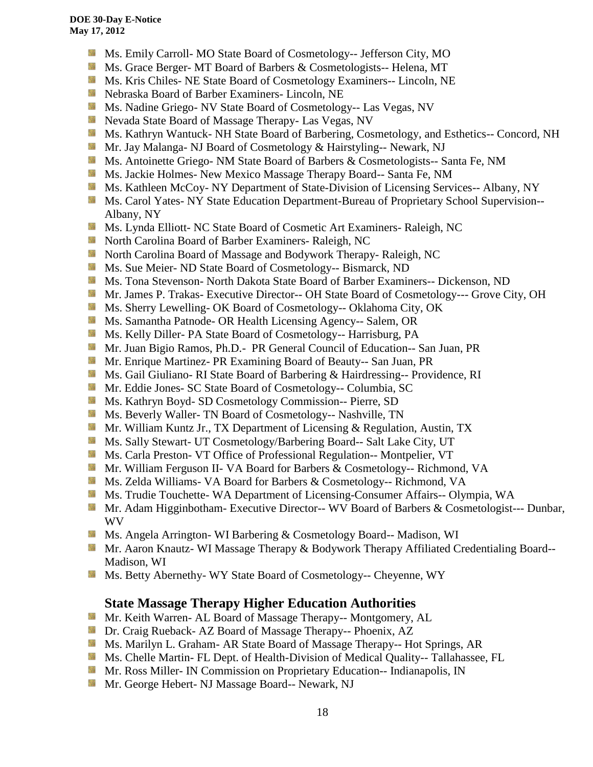- **Ms.** Emily Carroll- MO State Board of Cosmetology-- Jefferson City, MO
- Ms. Grace Berger- MT Board of Barbers & Cosmetologists-- Helena, MT
- **MS. Kris Chiles- NE State Board of Cosmetology Examiners-- Lincoln, NE**
- Nebraska Board of Barber Examiners- Lincoln, NE
- **Ms. Nadine Griego- NV State Board of Cosmetology-- Las Vegas, NV**
- Nevada State Board of Massage Therapy- Las Vegas, NV
- Ms. Kathryn Wantuck- NH State Board of Barbering, Cosmetology, and Esthetics-- Concord, NH
- Mr. Jay Malanga- NJ Board of Cosmetology & Hairstyling-- Newark, NJ
- **MS.** Antoinette Griego- NM State Board of Barbers & Cosmetologists-- Santa Fe, NM
- **MS. Jackie Holmes- New Mexico Massage Therapy Board-- Santa Fe, NM**
- **Ms. Kathleen McCoy- NY Department of State-Division of Licensing Services-- Albany, NY**
- **Ms. Carol Yates- NY State Education Department-Bureau of Proprietary School Supervision--**Albany, NY
- Ms. Lynda Elliott- NC State Board of Cosmetic Art Examiners- Raleigh, NC
- **North Carolina Board of Barber Examiners- Raleigh, NC**
- **North Carolina Board of Massage and Bodywork Therapy- Raleigh, NC**
- **MS.** Sue Meier- ND State Board of Cosmetology-- Bismarck, ND
- **Ms. Tona Stevenson- North Dakota State Board of Barber Examiners-- Dickenson, ND**
- Mr. James P. Trakas- Executive Director-- OH State Board of Cosmetology--- Grove City, OH
- Ms. Sherry Lewelling- OK Board of Cosmetology-- Oklahoma City, OK
- **Ms. Samantha Patnode- OR Health Licensing Agency-- Salem, OR**
- Ms. Kelly Diller- PA State Board of Cosmetology-- Harrisburg, PA
- Mr. Juan Bigio Ramos, Ph.D.- PR General Council of Education-- San Juan, PR
- Mr. Enrique Martinez- PR Examining Board of Beauty-- San Juan, PR
- **Ms. Gail Giuliano- RI State Board of Barbering & Hairdressing-- Providence, RI**
- Mr. Eddie Jones- SC State Board of Cosmetology-- Columbia, SC
- **Ms. Kathryn Boyd- SD Cosmetology Commission-- Pierre, SD**
- Ms. Beverly Waller- TN Board of Cosmetology-- Nashville, TN
- **Mr. William Kuntz Jr., TX Department of Licensing & Regulation, Austin, TX**
- Ms. Sally Stewart- UT Cosmetology/Barbering Board-- Salt Lake City, UT
- **Ms. Carla Preston- VT Office of Professional Regulation-- Montpelier, VT**
- Mr. William Ferguson II- VA Board for Barbers & Cosmetology-- Richmond, VA
- Ms. Zelda Williams- VA Board for Barbers & Cosmetology-- Richmond, VA
- Ms. Trudie Touchette- WA Department of Licensing-Consumer Affairs-- Olympia, WA
- **Mr.** Adam Higginbotham- Executive Director-- WV Board of Barbers & Cosmetologist--- Dunbar, WV
- **Ms.** Angela Arrington- WI Barbering & Cosmetology Board-- Madison, WI
- Mr. Aaron Knautz- WI Massage Therapy & Bodywork Therapy Affiliated Credentialing Board--Madison, WI
- Ms. Betty Abernethy- WY State Board of Cosmetology-- Cheyenne, WY

# **State Massage Therapy Higher Education Authorities**

- **Mr. Keith Warren- AL Board of Massage Therapy-- Montgomery, AL**
- **Dr.** Craig Rueback- AZ Board of Massage Therapy-- Phoenix, AZ
- Ms. Marilyn L. Graham- AR State Board of Massage Therapy-- Hot Springs, AR
- **Ms. Chelle Martin- FL Dept. of Health-Division of Medical Quality-- Tallahassee, FL**
- **Mr. Ross Miller- IN Commission on Proprietary Education-- Indianapolis, IN**
- **Mr.** George Hebert- NJ Massage Board-- Newark, NJ